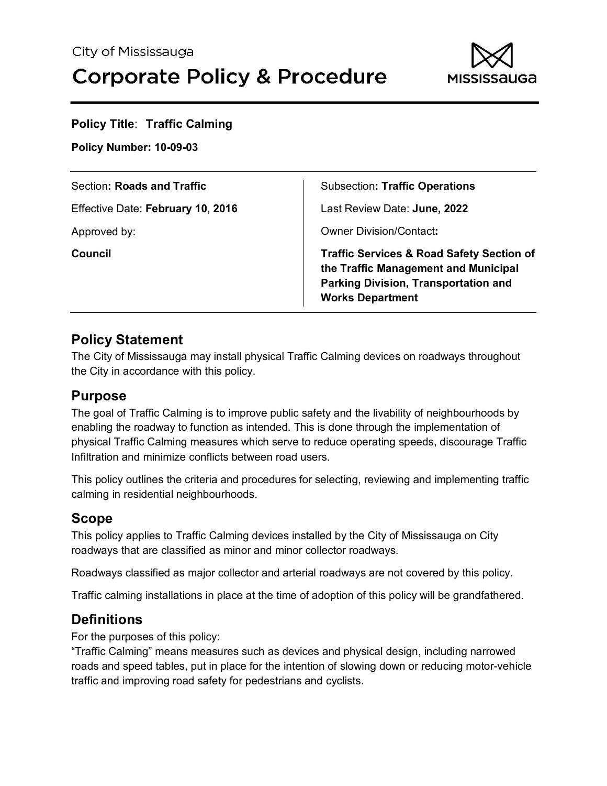

| <b>Policy Title: Traffic Calming</b><br><b>Policy Number: 10-09-03</b> |                                                                                                                                                                        |  |  |  |
|------------------------------------------------------------------------|------------------------------------------------------------------------------------------------------------------------------------------------------------------------|--|--|--|
| Section: Roads and Traffic                                             | <b>Subsection: Traffic Operations</b>                                                                                                                                  |  |  |  |
| Effective Date: February 10, 2016                                      | Last Review Date: June, 2022                                                                                                                                           |  |  |  |
| Approved by:                                                           | <b>Owner Division/Contact:</b>                                                                                                                                         |  |  |  |
| Council                                                                | <b>Traffic Services &amp; Road Safety Section of</b><br>the Traffic Management and Municipal<br><b>Parking Division, Transportation and</b><br><b>Works Department</b> |  |  |  |

## **Policy Statement**

The City of Mississauga may install physical Traffic Calming devices on roadways throughout the City in accordance with this policy.

## **Purpose**

The goal of Traffic Calming is to improve public safety and the livability of neighbourhoods by enabling the roadway to function as intended. This is done through the implementation of physical Traffic Calming measures which serve to reduce operating speeds, discourage Traffic Infiltration and minimize conflicts between road users.

This policy outlines the criteria and procedures for selecting, reviewing and implementing traffic calming in residential neighbourhoods.

## **Scope**

This policy applies to Traffic Calming devices installed by the City of Mississauga on City roadways that are classified as minor and minor collector roadways.

Roadways classified as major collector and arterial roadways are not covered by this policy.

Traffic calming installations in place at the time of adoption of this policy will be grandfathered.

## **Definitions**

For the purposes of this policy:

"Traffic Calming" means measures such as devices and physical design, including narrowed roads and speed tables, put in place for the intention of slowing down or reducing motor-vehicle traffic and improving road safety for pedestrians and cyclists.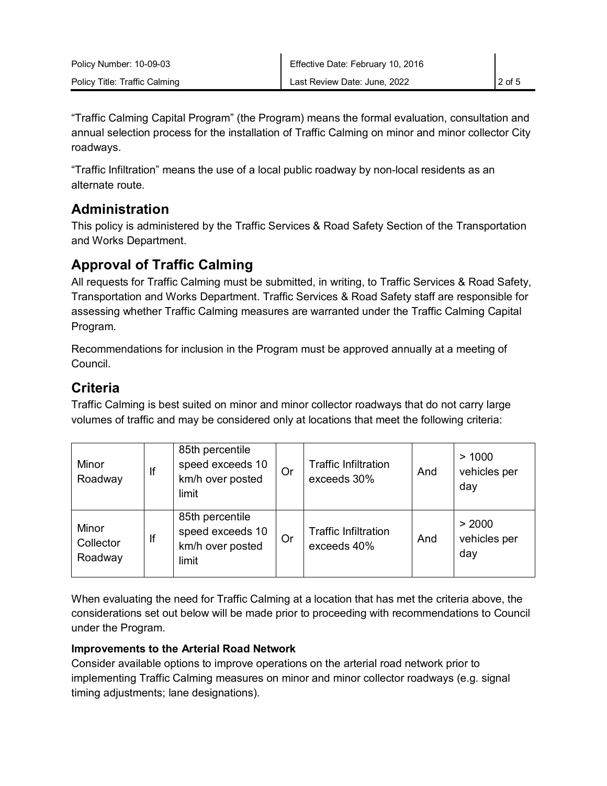"Traffic Calming Capital Program" (the Program) means the formal evaluation, consultation and annual selection process for the installation of Traffic Calming on minor and minor collector City roadways.

"Traffic Infiltration" means the use of a local public roadway by non-local residents as an alternate route.

# **Administration**

This policy is administered by the Traffic Services & Road Safety Section of the Transportation and Works Department.

# **Approval of Traffic Calming**

All requests for Traffic Calming must be submitted, in writing, to Traffic Services & Road Safety, Transportation and Works Department. Traffic Services & Road Safety staff are responsible for assessing whether Traffic Calming measures are warranted under the Traffic Calming Capital Program.

Recommendations for inclusion in the Program must be approved annually at a meeting of Council.

# **Criteria**

Traffic Calming is best suited on minor and minor collector roadways that do not carry large volumes of traffic and may be considered only at locations that meet the following criteria:

| Minor<br>Roadway              | lf | 85th percentile<br>speed exceeds 10<br>km/h over posted<br>limit | Or | <b>Traffic Infiltration</b><br>exceeds 30% | And | >1000<br>vehicles per<br>day  |
|-------------------------------|----|------------------------------------------------------------------|----|--------------------------------------------|-----|-------------------------------|
| Minor<br>Collector<br>Roadway | If | 85th percentile<br>speed exceeds 10<br>km/h over posted<br>limit | Or | <b>Traffic Infiltration</b><br>exceeds 40% | And | > 2000<br>vehicles per<br>day |

When evaluating the need for Traffic Calming at a location that has met the criteria above, the considerations set out below will be made prior to proceeding with recommendations to Council under the Program.

### **Improvements to the Arterial Road Network**

Consider available options to improve operations on the arterial road network prior to implementing Traffic Calming measures on minor and minor collector roadways (e.g. signal timing adjustments; lane designations).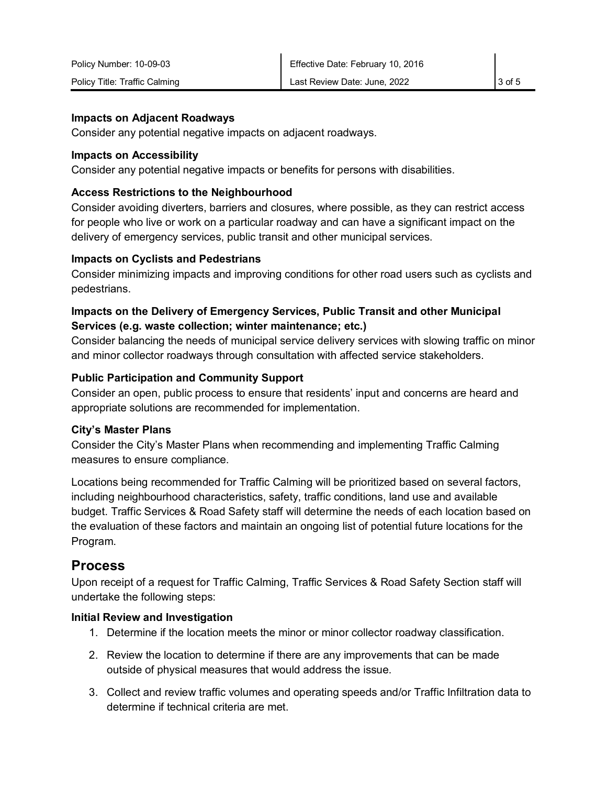#### **Impacts on Adjacent Roadways**

Consider any potential negative impacts on adjacent roadways.

#### **Impacts on Accessibility**

Consider any potential negative impacts or benefits for persons with disabilities.

#### **Access Restrictions to the Neighbourhood**

Consider avoiding diverters, barriers and closures, where possible, as they can restrict access for people who live or work on a particular roadway and can have a significant impact on the delivery of emergency services, public transit and other municipal services.

#### **Impacts on Cyclists and Pedestrians**

Consider minimizing impacts and improving conditions for other road users such as cyclists and pedestrians.

#### **Impacts on the Delivery of Emergency Services, Public Transit and other Municipal Services (e.g. waste collection; winter maintenance; etc.)**

Consider balancing the needs of municipal service delivery services with slowing traffic on minor and minor collector roadways through consultation with affected service stakeholders.

#### **Public Participation and Community Support**

Consider an open, public process to ensure that residents' input and concerns are heard and appropriate solutions are recommended for implementation.

#### **City's Master Plans**

Consider the City's Master Plans when recommending and implementing Traffic Calming measures to ensure compliance.

Locations being recommended for Traffic Calming will be prioritized based on several factors, including neighbourhood characteristics, safety, traffic conditions, land use and available budget. Traffic Services & Road Safety staff will determine the needs of each location based on the evaluation of these factors and maintain an ongoing list of potential future locations for the Program.

## **Process**

Upon receipt of a request for Traffic Calming, Traffic Services & Road Safety Section staff will undertake the following steps:

#### **Initial Review and Investigation**

- 1. Determine if the location meets the minor or minor collector roadway classification.
- 2. Review the location to determine if there are any improvements that can be made outside of physical measures that would address the issue.
- 3. Collect and review traffic volumes and operating speeds and/or Traffic Infiltration data to determine if technical criteria are met.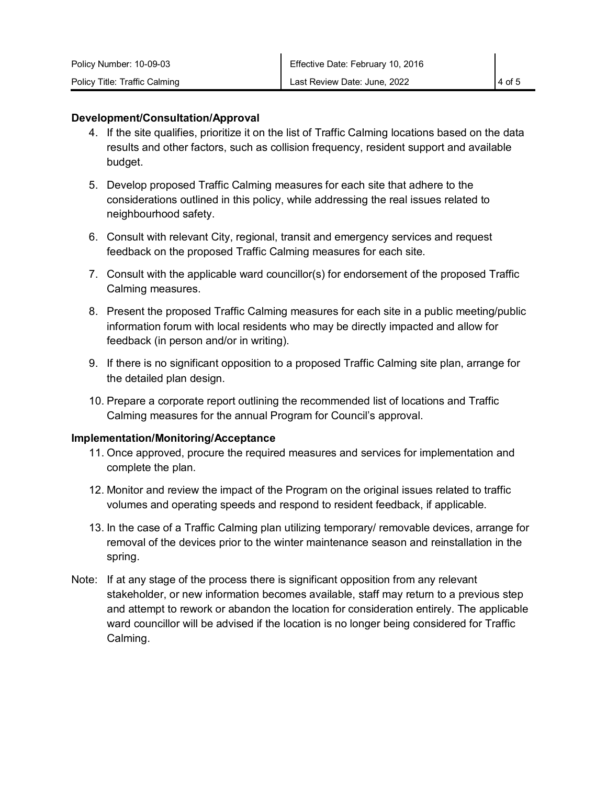#### **Development/Consultation/Approval**

- 4. If the site qualifies, prioritize it on the list of Traffic Calming locations based on the data results and other factors, such as collision frequency, resident support and available budget.
- 5. Develop proposed Traffic Calming measures for each site that adhere to the considerations outlined in this policy, while addressing the real issues related to neighbourhood safety.
- 6. Consult with relevant City, regional, transit and emergency services and request feedback on the proposed Traffic Calming measures for each site.
- 7. Consult with the applicable ward councillor(s) for endorsement of the proposed Traffic Calming measures.
- 8. Present the proposed Traffic Calming measures for each site in a public meeting/public information forum with local residents who may be directly impacted and allow for feedback (in person and/or in writing).
- 9. If there is no significant opposition to a proposed Traffic Calming site plan, arrange for the detailed plan design.
- 10. Prepare a corporate report outlining the recommended list of locations and Traffic Calming measures for the annual Program for Council's approval.

#### **Implementation/Monitoring/Acceptance**

- 11. Once approved, procure the required measures and services for implementation and complete the plan.
- 12. Monitor and review the impact of the Program on the original issues related to traffic volumes and operating speeds and respond to resident feedback, if applicable.
- 13. In the case of a Traffic Calming plan utilizing temporary/ removable devices, arrange for removal of the devices prior to the winter maintenance season and reinstallation in the spring.
- Note: If at any stage of the process there is significant opposition from any relevant stakeholder, or new information becomes available, staff may return to a previous step and attempt to rework or abandon the location for consideration entirely. The applicable ward councillor will be advised if the location is no longer being considered for Traffic Calming.